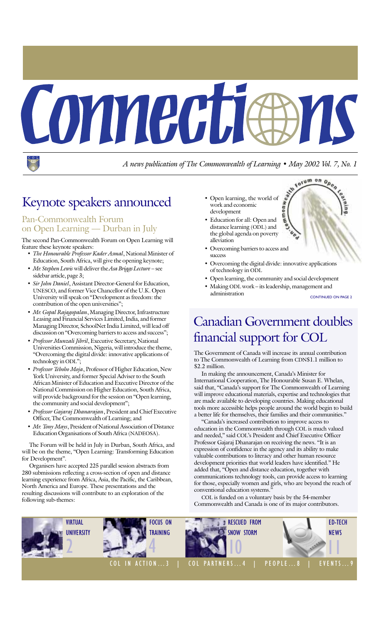

*A news publication of The Commonwealth of Learning ï May 2002 Vol. 7, No. 1*

# Keynote speakers announced

#### Pan-Commonwealth Forum on Open Learning — Durban in July

The second Pan-Commonwealth Forum on Open Learning will feature these keynote speakers:

- ï *The Honourable Professor Kader Asmal*, National Minister of Education, South Africa, will give the opening keynote;
- *Mr. Stephen Lewis* will deliver the *Asa Briggs Lecture* see sidebar article, page 3;
- *Sir John Daniel*, Assistant Director-General for Education, UNESCO, and former Vice Chancellor of the U.K. Open University will speak on "Development as freedom: the contribution of the open universities";
- *Mr. Gopal Rajagopalan*, Managing Director, Infrastructure Leasing and Financial Services Limited, India, and former Managing Director, SchoolNet India Limited, will lead off discussion on "Overcoming barriers to access and success";
- ï *Professor Munzali Jibril*, Executive Secretary, National Universities Commission, Nigeria, will introduce the theme, ìOvercoming the digital divide: innovative applications of technology in ODL";
- ï *Professor Teboho Moja*, Professor of Higher Education, New York University, and former Special Adviser to the South African Minister of Education and Executive Director of the National Commission on Higher Education, South Africa, will provide background for the session on "Open learning, the community and social development";
- ï *Professor Gajaraj Dhanarajan*, President and Chief Executive Officer, The Commonwealth of Learning; and
- *Mr. Tony Mays*, President of National Association of Distance Education Organisations of South Africa (NADEOSA).

The Forum will be held in July in Durban, South Africa, and will be on the theme, "Open Learning: Transforming Education for Development".

Organisers have accepted 225 parallel session abstracts from 280 submissions reflecting a cross-section of open and distance learning experience from Africa, Asia, the Pacific, the Caribbean, North America and Europe. These presentations and the resulting discussions will contribute to an exploration of the following sub-themes:

- Open learning, the world of work and economic development
- **Muou** • Education for all: Open and distance learning (ODL) and the global agenda on poverty alleviation
- Overcoming barriers to access and success
- Overcoming the digital divide: innovative applications of technology in ODL
- Open learning, the community and social development
- Making ODL work its leadership, management and administration

CONTINUED ON PAGE 2

totum on Open

Weater

# Canadian Government doubles financial support for COL

The Government of Canada will increase its annual contribution to The Commonwealth of Learning from CDN\$1.1 million to \$2.2 million.

In making the announcement, Canada's Minister for International Cooperation, The Honourable Susan E. Whelan, said that, "Canada's support for The Commonwealth of Learning will improve educational materials, expertise and technologies that are made available to developing countries. Making educational tools more accessible helps people around the world begin to build a better life for themselves, their families and their communities."

ìCanadaís increased contribution to improve access to education in the Commonwealth through COL is much valued and needed," said COL's President and Chief Executive Officer Professor Gajaraj Dhanarajan on receiving the news. "It is an expression of confidence in the agency and its ability to make valuable contributions to literacy and other human resource development priorities that world leaders have identified." He added that, "Open and distance education, together with communications technology tools, can provide access to learning for those, especially women and girls, who are beyond the reach of conventional education systems."

COL is funded on a voluntary basis by the 54-member Commonwealth and Canada is one of its major contributors.

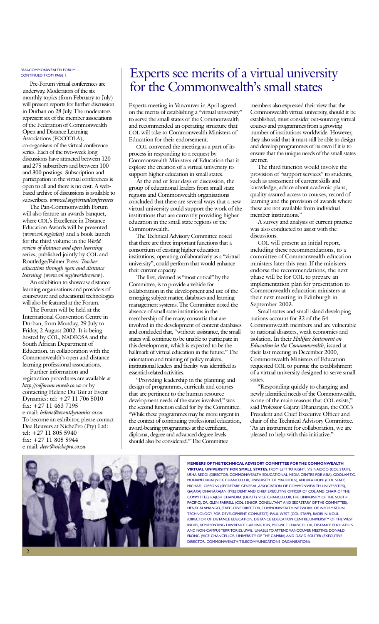#### PAN-COMMONWEALTH FORUM -CONTINUED FROM PAGE 1:

Pre-Forum virtual conferences are underway. Moderators of the six monthly topics (from February to July) will present reports for further discussion in Durban on 28 July. The moderators represent six of the member associations of the Federation of Commonwealth Open and Distance Learning Associations (FOCODLA), co-organisers of the virtual conference series. Each of the two-week long discussions have attracted between 120 and 275 subscribers and between 100 and 300 postings. Subscription and participation in the virtual conferences is open to all and there is no cost. A webbased archive of discussions is available to subscribers. *www.col.org/virtualconferences*

The Pan-Commonwealth Forum will also feature an awards banquet, where COL's Excellence in Distance Education Awards will be presented (*www.col.org/edea)* and a book launch for the third volume in the *World review of distance and open learning* series, published jointly by COL and Routledge/Falmer Press: *Teacher education through open and distance learning* (*www.col.org/worldreview*).

An exhibition to showcase distance learning organisations and providers of courseware and educational technologies will also be featured at the Forum.

The Forum will be held at the International Convention Centre in Durban, from Monday, 29 July to Friday, 2 August 2002. It is being hosted by COL, NADEOSA and the South African Department of Education, in collaboration with the Commonwealth's open and distance learning professional associations.

Further information and registration procedures are available at *http://colforum.mweb.co.za* or by contacting Helene Du Toit at Event Dynamics: tel: +27 11 706 5010 fax: +27 11 463 7195 e-mail: *helene@eventdynamics.co.za* To become an exhibitor, please contact Dee Reuvers at NichePro (Pty) Ltd: tel: +27 11 805 5940 fax: +27 11 805 5944 e-mail: *deer@nichepro.co.za*

### Experts see merits of a virtual university for the Commonwealth's small states

Experts meeting in Vancouver in April agreed on the merits of establishing a "virtual university" to serve the small states of the Commonwealth and recommended an operating structure that COL will take to Commonwealth Ministers of Education for their endorsement.

COL convened the meeting as a part of its process in responding to a request by Commonwealth Ministers of Education that it explore the creation of a virtual university to support higher education in small states.

At the end of four days of discussion, the group of educational leaders from small state regions and Commonwealth organisations concluded that there are several ways that a new virtual university could support the work of the institutions that are currently providing higher education in the small state regions of the Commonwealth.

The Technical Advisory Committee noted that there are three important functions that a consortium of existing higher education institutions, operating collaboratively as a "virtual university", could perform that would enhance their current capacity.

The first, deemed as "most critical" by the Committee, is to provide a vehicle for collaboration in the development and use of the emerging subject matter, databases and learning management systems. The Committee noted the absence of small state institutions in the membership of the many consortia that are involved in the development of content databases and concluded that, "without assistance, the small states will continue to be unable to participate in this development, which is expected to be the hallmark of virtual education in the future." The orientation and training of policy makers, institutional leaders and faculty was identified as essential related activities.

ìProviding leadership in the planning and design of programmes, curricula and courses that are pertinent to the human resource development needs of the states involved," was the second function called for by the Committee. ìWhile these programmes may be more urgent in the context of continuing professional education, award-bearing programmes at the certificate, diploma, degree and advanced degree levels should also be considered." The Committee

members also expressed their view that the Commonwealth virtual university, should it be established, must consider out-sourcing virtual courses and programmes from a growing number of institutions worldwide. However, they also said that it must still be able to design and develop programmes of its own if it is to ensure that the unique needs of the small states are met.

The third function would involve the provision of "support services" to students, such as assessment of current skills and knowledge, advice about academic plans, quality-assured access to courses, record of learning and the provision of awards where these are not available from individual member institutions."

A survey and analysis of current practice was also conducted to assist with the discussions.

COL will present an initial report, including these recommendations, to a committee of Commonwealth education ministers later this year. If the ministers endorse the recommendations, the next phase will be for COL to prepare an implementation plan for presentation to Commonwealth education ministers at their next meeting in Edinburgh in September 2003.

Small states and small island developing nations account for 32 of the 54 Commonwealth members and are vulnerable to national disasters, weak economies and isolation. In their *Halifax Statement on Education in the Commonwealth*, issued at their last meeting in December 2000, Commonwealth Ministers of Education requested COL to pursue the establishment of a virtual university designed to serve small states.

"Responding quickly to changing and newly identified needs of the Commonwealth, is one of the main reasons that COL exists," said Professor Gajaraj Dhanarajan, the COL's President and Chief Executive Officer and chair of the Technical Advisory Committee. ìAs an instrument for collaboration, we are pleased to help with this initiative."



**MEMBERS OF THE TECHNICAL ADVISORY COMMITTEE FOR THE COMMONWEALTH VIRTUAL UNIVERSITY FOR SMALL STATES**, FROM LEFT TO RIGHT: VIS NAIDOO (COL STAFF), USHA REDDI (DIRECTOR, COMMONWEALTH EDUCATIONAL MEDIA CENTRE FOR ASIA), GOOLAM T.G. MOHAMEDBHAI (VICE CHANCELLOR, UNIVERSITY OF MAURITIUS), ANDREA HOPE (COL STAFF), MICHAEL GIBBONS (SECRETARY GENERAL, ASSOCIATION OF COMMONWEALTH UNIVERSITIES), GAJARAJ DHANARAJAN (PRESIDENT AND CHIEF EXECUTIVE OFFICER OF COL AND CHAIR OF THE COMMITTEE), RAJESH CHANDRA (DEPUTY VICE CHANCELLOR, THE UNIVERSITY OF THE SOUTH PACIFIC), DR. GLEN FARRELL (COL SENIOR CONSULTANT AND SECRETARY OF THE COMMITTEE), HENRY ALAMANGO, (EXECUTIVE DIRECTOR, COMMONWEALTH NETWORK OF INFORMATION TECHNOLOGY FOR DEVELOPMENT, COMNET-IT), PAUL WEST (COL STAFF), BADRI N. KOUL (DIRECTOR OF DISTANCE EDUCATION, DISTANCE EDUCATION CENTRE, UNIVERSITY OF THE WEST INDIES, REPRESENTING LAWRENCE CARRINGTON, PRO-VICE CHANCELLOR, DISTANCE EDUCATION AND NON-CAMPUS TERRITORIES, UWI). UNABLE TO ATTEND VANCOUVER MEETING: DONALD EKONG (VICE CHANCELLOR, UNIVERSITY OF THE GAMBIA) AND DAVID SOUTER (EXECUTIVE DIRECTOR, COMMONWEALTH TELECOMMUNICATIONS ORGANISATION).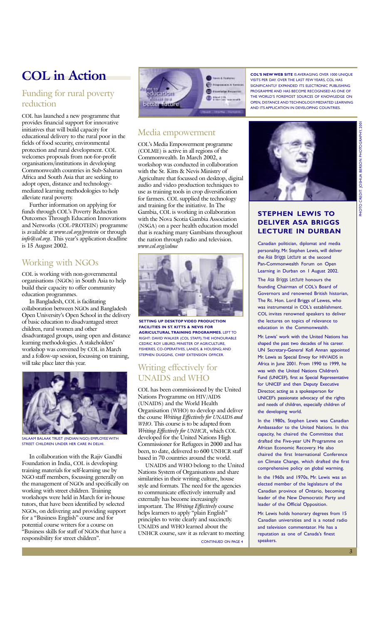# **COL in Action**

#### Funding for rural poverty reduction

COL has launched a new programme that provides financial support for innovative initiatives that will build capacity for educational delivery to the rural poor in the fields of food security, environmental protection and rural development. COL welcomes proposals from not-for-profit organisations/institutions in developing Commonwealth countries in Sub-Saharan Africa and South Asia that are seeking to adopt open, distance and technologymediated learning methodologies to help alleviate rural poverty.

Further information on applying for funds through COL's Poverty Reduction Outcomes Through Education Innovations and Networks (COL-PROTEIN) programme is available at *www.col.org/protein* or through *info@col.org*. This year's application deadline is 15 August 2002.

#### Working with NGOs

COL is working with non-governmental organisations (NGOs) in South Asia to help build their capacity to offer community education programmes.

In Bangladesh, COL is facilitating collaboration between NGOs and Bangladesh Open University's Open School in the delivery of basic education to disadvantaged street children, rural women and other disadvantaged groups, using open and distance learning methodologies. A stakeholders' workshop was convened by COL in March and a follow-up session, focussing on training, will take place later this year.



SALAAM BALAAK TRUST (INDIAN NGO) EMPLOYEE WITH STREET CHILDREN UNDER HER CARE IN DELHI.

In collaboration with the Rajiv Gandhi Foundation in India, COL is developing training materials for self-learning use by NGO staff members, focussing generally on the management of NGOs and specifically on working with street children. Training workshops were held in March for in-house tutors, that have been identified by selected NGOs, on delivering and providing support for a "Business English" course and for potential course writers for a course on **Example 3**<br>Business skills for staff of NGOs that have a responsibility for street children".



#### Media empowerment

COLís Media Empowerment programme (COLME) is active in all regions of the Commonwealth. In March 2002, a workshop was conducted in collaboration with the St. Kitts & Nevis Ministry of Agriculture that focussed on desktop, digital audio and video production techniques to use as training tools in crop diversification for farmers. COL supplied the technology and training for the initiative. In The Gambia, COL is working in collaboration with the Nova Scotia Gambia Association (NSGA) on a peer health education model that is reaching many Gambians throughout the nation through radio and television. *www.col.org/colme*



**SETTING UP DESKTOP VIDEO PRODUCTION FACILITIES IN ST. KITTS & NEVIS FOR AGRICULTURAL TRAINING PROGRAMMES.** LEFT TO RIGHT: DAVID WALKER (COL STAFF); THE HONOURABLE CEDRIC ROY LIBURD, MINISTER OF AGRICULTURE, FISHERIES, CO-OPERATIVES, LANDS, & HOUSING; AND STEPHEN DUGGINS, CHIEF EXTENSION OFFICER.

#### Writing effectively for UNAIDS and WHO

COL has been commissioned by the United Nations Programme on HIV/AIDS (UNAIDS) and the World Health Organisation (WHO) to develop and deliver the course *Writing Effectively for UNAIDS and WHO*. This course is to be adapted from *Writing Effectively for UNHCR*, which COL developed for the United Nations High Commissioner for Refugees in 2000 and has been, to date, delivered to 600 UNHCR staff based in 70 countries around the world.

UNAIDS and WHO belong to the United Nations System of Organisations and share similarities in their writing culture, house style and formats. The need for the agencies to communicate effectively internally and externally has become increasingly important. The *Writing Effectively* course helps learners to apply "plain English" principles to write clearly and succinctly. UNAIDS and WHO learned about the UNHCR course, saw it as relevant to meeting

CONTINUED ON PAGE 4

**COL'S NEW WEB SITE IS AVERAGING OVER 1000 UNIQUE** VISITS PER DAY. OVER THE LAST FEW YEARS, COL HAS SIGNIFICANTLY EXPANDED ITS ELECTRONIC PUBLISHING PROGRAMME AND HAS BECOME RECOGNISED AS ONE OF THE WORLD'S FOREMOST SOURCES OF KNOWLEDGE ON OPEN, DISTANCE AND TECHNOLOGY-MEDIATED LEARNING AND ITS APPLICATION IN DEVELOPING COUNTRIES.



#### **STEPHEN LEWIS TO DELIVER ASA BRIGGS LECTURE IN DURBAN**

Canadian politician, diplomat and media personality, Mr. Stephen Lewis, will deliver the *Asa Briggs Lecture* at the second Pan-Commonwealth Forum on Open Learning in Durban on 1 August 2002.

The *Asa Briggs Lecture* honours the founding Chairman of COL's Board of Governors and renowned British historian, The Rt. Hon. Lord Briggs of Lewes, who was instrumental in COL's establishment. COL invites renowned speakers to deliver the lectures on topics of relevance to education in the Commonwealth.

Mr. Lewis' work with the United Nations has shaped the past two decades of his career. UN Secretary-General Kofi Annan appointed Mr. Lewis as Special Envoy for HIV/AIDS in Africa in June 2001. From 1990 to 1999, he was with the United Nations Children's Fund (UNICEF), first as Special Representative for UNICEF and then Deputy Executive Director, acting as a spokesperson for UNICEF's passionate advocacy of the rights and needs of children, especially children of the developing world.

In the 1980s, Stephen Lewis was Canadian Ambassador to the United Nations. In this capacity, he chaired the Committee that drafted the Five-year UN Programme on African Economic Recovery. He also chaired the first International Conference on Climate Change, which drafted the first comprehensive policy on global warming.

In the 1960s and 1970s, Mr. Lewis was an elected member of the legislature of the Canadian province of Ontario, becoming leader of the New Democratic Party and leader of the Official Opposition.

Mr. Lewis holds honorary degrees from 15 Canadian universities and is a noted radio and television commentator. He has a reputation as one of Canada's finest speakers.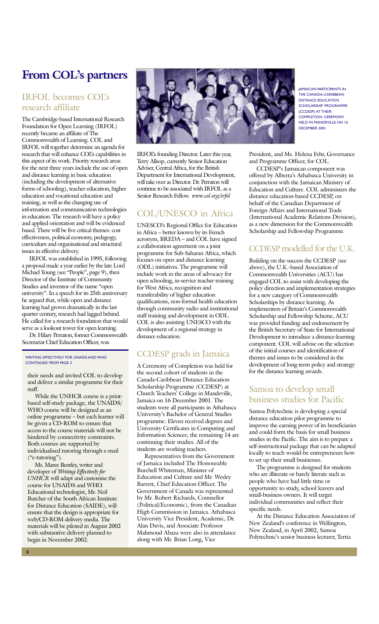# **From COLís partners**

#### IRFOL becomes COLís research affiliate

The Cambridge-based International Research Foundation for Open Learning (IRFOL) recently became an affiliate of The Commonwealth of Learning. COL and IRFOL will together determine an agenda for research that will enhance COL's capabilities in this aspect of its work. Priority research areas for the next three years include the use of open and distance learning in basic education (including the development of alternative forms of schooling), teacher education, higher education and vocational education and training, as well as the changing use of information and communication technologies in education. The research will have a policy and applied orientation and will be evidenced based. There will be five critical themes: cost effectiveness, political economy, pedagogy, curriculum and organisational and structural issues in effective delivery.

IRFOL was established in 1995, following a proposal made a year earlier by the late Lord Michael Young (see "People", page 9), then Director of the Institute of Community Studies and inventor of the name "open university". In a speech for its 25th anniversary he argued that, while open and distance learning had grown dramatically in the last quarter century, research had lagged behind. He called for a research foundation that would serve as a lookout tower for open learning.

Dr. Hilary Perraton, former Commonwealth Secretariat Chief Education Officer, was

#### WRITING EFFECTIVELY FOR UNAIDS AND WHO CONTINUED FROM PAGE 3

their needs and invited COL to develop and deliver a similar programme for their staff.

While the UNHCR course is a printbased self-study package, the UNAIDS/ WHO course will be designed as an online programme - but each learner will be given a CD-ROM to ensure that access to the course materials will not be hindered by connectivity constraints. Both courses are supported by individualised tutoring through e-mail  $("e-tutoring").$ 

Ms. Maree Bentley, writer and developer of *Writing Effectively for UNHCR* will adapt and customise the course for UNAIDS and WHO. Educational technologist, Mr. Neil Butcher of the South African Institute for Distance Education (SAIDE), will ensure that the design is appropriate for web/CD-ROM delivery media. The materials will be piloted in August 2002 with substantive delivery planned to begin in November 2002.



IRFOEs founding Director. Later this year, Terry Allsop, currently Senior Education Adviser, Central Africa, for the British Department for International Development, will take over as Director. Dr. Perraton will continue to be associated with IRFOL as a Senior Research Fellow. *www.col.org/irfol*

#### COL/UNESCO in Africa

UNESCO's Regional Office for Education in Africa – better known by its French acronym, BREDA – and COL have signed a collaboration agreement on a joint programme for Sub-Saharan Africa, which focuses on open and distance learning (ODL) initiatives. The programme will include work in the areas of advocacy for open schooling, in-service teacher training for West Africa, recognition and transferability of higher education qualifications, non-formal health education through community radio and institutional staff training and development in ODL. COL is also assisting UNESCO with the development of a regional strategy in distance education.

#### CCDESP grads in Jamaica

A Ceremony of Completion was held for the second cohort of students in the Canada-Caribbean Distance Education Scholarship Programme (CCDESP) at Church Teachers' College in Mandeville, Jamaica on 16 December 2001. The students were all participants in Athabasca University's Bachelor of General Studies programme: Eleven received degrees and University Certificates in Computing and Information Sciences; the remaining 14 are continuing their studies. All of the students are working teachers.

Representatives from the Government of Jamaica included The Honourable Burchell Whiteman, Minister of Education and Culture and Mr. Wesley Barrett, Chief Education Officer. The Government of Canada was represented by Mr. Robert Richards, Counsellor (Political/Economic), from the Canadian High Commission in Jamaica. Athabasca University Vice President, Academic, Dr. Alan Davis, and Associate Professor Mahmoud Abaza were also in attendance along with Mr. Brian Long, Vice

JAMAICAN PARTICIPANTS IN THE CANADA-CARIBBEAN DISTANCE EDUCATION SCHOLARSHIP PROGRAMME (CCDESP) AT THEIR COMPLETION CEREMONY HELD IN MANDEVILLE ON 16 DECEMBER 2001.

President, and Ms. Helena Fehr, Governance and Programme Officer, for COL.

CCDESP's Jamaican component was offered by Alberta's Athabasca University in conjunction with the Jamaican Ministry of Education and Culture. COL administers the distance education-based CCDESP, on behalf of the Canadian Department of Foreign Affairs and International Trade (International Academic Relations Division), as a new dimension for the Commonwealth Scholarship and Fellowship Programme.

#### CCDESP modelled for the U.K.

Building on the success the CCDESP (see above), the U.K.-based Association of Commonwealth Universities (ACU) has engaged COL to assist with developing the policy direction and implementation strategies for a new category of Commonwealth Scholarships by distance learning. As implementers of Britain's Commonwealth Scholarship and Fellowship Scheme, ACU was provided funding and endorsement by the British Secretary of State for International Development to introduce a distance-learning component. COL will advise on the selection of the initial courses and identification of themes and issues to be considered in the development of long-term policy and strategy for the distance learning awards.

#### Samoa to develop small business studies for Pacific

Samoa Polytechnic is developing a special distance education pilot programme to improve the earning power of its beneficiaries and could form the basis for small business studies in the Pacific. The aim is to prepare a self-instructional package that can be adapted locally to teach would-be entrepreneurs how to set up their small businesses.

The programme is designed for students who are illiterate or barely literate such as people who have had little time or opportunity to study, school leavers and small-business owners. It will target individual communities and reflect their specific needs.

At the Distance Education Association of New Zealand's conference in Wellington, New Zealand, in April 2002, Samoa Polytechnic's senior business lecturer, Tertia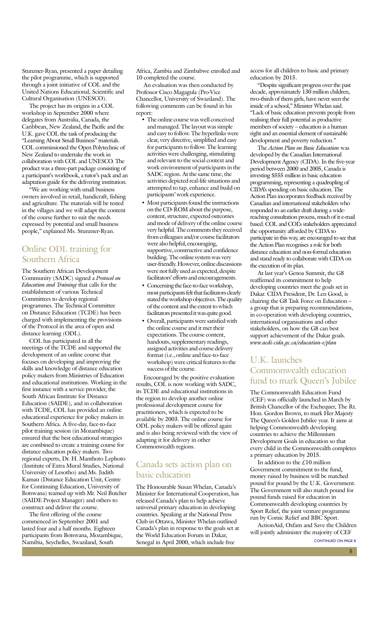Stunzner-Ryan, presented a paper detailing the pilot programme, which is supported through a joint initiative of COL and the United Nations Educational, Scientific and Cultural Organisation (UNESCO).

The project has its origins in a COL workshop in September 2000 where delegates from Australia, Canada, the Caribbean, New Zealand, the Pacific and the U.K. gave COL the task of producing the "Learning About Small Business" materials. COL commissioned the Open Polytechnic of New Zealand to undertake the work in collaboration with COL and UNESCO. The product was a three-part package consisting of a participant's workbook, a tutor's pack and an adaptation guide for the delivering institution.

"We are working with small business owners involved in retail, handicraft, fishing and agriculture. The materials will be tested in the villages and we will adapt the content of the course further to suit the needs expressed by potential and small business people," explained Ms. Stunzner-Ryan.

#### Online ODL training for Southern Africa

The Southern African Development Community (SADC) signed a *Protocol on Education and Training* that calls for the establishment of various Technical Committees to develop regional programmes. The Technical Committee on Distance Education (TCDE) has been charged with implementing the provisions of the Protocol in the area of open and distance learning (ODL).

COL has participated in all the meetings of the TCDE and supported the development of an online course that focuses on developing and improving the skills and knowledge of distance education policy makers from Ministries of Education and educational institutions. Working in the first instance with a service provider, the South African Institute for Distance Education (SAIDE), and in collaboration with TCDE, COL has provided an online educational experience for policy makers in Southern Africa. A five-day, face-to-face pilot training session (in Mozambique) ensured that the best educational strategies are combined to create a training course for distance education policy makers. Two regional experts, Dr. H. Manthoto Lephoto (Institute of Extra Mural Studies, National University of Lesotho) and Ms. Judith Kamau (Distance Education Unit, Centre for Continuing Education, University of Botswana) teamed up with Mr. Neil Butcher (SAIDE Project Manager) and others to construct and deliver the course.

The first offering of the course commenced in September 2001 and lasted four and a half months. Eighteen participants from Botswana, Mozambique, Namibia, Seychelles, Swaziland, South

Africa, Zambia and Zimbabwe enrolled and 10 completed the course.

An evaluation was then conducted by Professor Cisco Magagula (Pro-Vice Chancellor, University of Swaziland). The following comments can be found in his report:

- The online course was well conceived and managed. The layout was simple and easy to follow. The hyperlinks were clear, very directive, simplified and easy for participants to follow. The learning activities were challenging, stimulating and relevant to the social context and work environment of participants in the SADC region. At the same time, the activities depicted real-life situations and attempted to tap, enhance and build on participants' work experience.
- Most participants found the instructions on the CD-ROM about the purpose, content, structure, expected outcomes and mode of delivery of the online course very helpful. The comments they received from colleagues and/or course facilitators were also helpful, encouraging, supportive, constructive and confidence building. The online system was very user-friendly. However, online discussions were not fully used as expected, despite facilitators' efforts and encouragements.
- Concerning the face-to-face workshop, most participants felt that facilitators clearly stated the workshop objectives. The quality of the content and the extent to which facilitators presented it was quite good.
- Overall, participants were satisfied with the online course and it met their expectations. The course content, handouts, supplementary readings, assigned activities and course delivery format (i.e., online and face-to-face workshop) were critical features to the success of the course.

Encouraged by the positive evaluation results, COL is now working with SADC, its TCDE and educational institutions in the region to develop another online professional development course for practitioners, which is expected to be available by 2003. The online course for ODL policy makers will be offered again and is also being reviewed with the view of adapting it for delivery in other Commonwealth regions.

#### Canada sets action plan on basic education

The Honourable Susan Whelan, Canada's Minister for International Cooperation, has released Canada's plan to help achieve universal primary education in developing countries. Speaking at the National Press Club in Ottawa, Minister Whelan outlined Canada's plan in response to the goals set at the World Education Forum in Dakar, Senegal in April 2000, which include free

access for all children to basic and primary education by 2015.

ìDespite significant progress over the past decade, approximately 130 million children, two-thirds of them girls, have never seen the inside of a school," Minister Whelan said. ìLack of basic education prevents people from realising their full potential as productive members of society – education is a human right and an essential element of sustainable development and poverty reduction."

The *Action Plan on Basic Education* was developed by the Canadian International Development Agency (CIDA). In the five-year period between 2000 and 2005, Canada is investing \$555 million in basic education programming, representing a quadrupling of CIDAís spending on basic education. The Action Plan incorporates feedback received by Canadian and international stakeholders who responded to an earlier draft during a widereaching consultation process, much of it e-mail based. COL and COL's stakeholders appreciated the opportunity afforded by CIDA to participate in this way, are encouraged to see that the Action Plan recognises a role for both distance education and non-formal education and stand ready to collaborate with CIDA on the execution of its plan.

At last year's Genoa Summit, the G8 reaffirmed its commitment to help developing countries meet the goals set in Dakar. CIDA President, Dr. Len Good, is chairing the G8 Task Force on Education a group that is preparing recommendations, in co-operation with developing countries, international organisations and other stakeholders, on how the G8 can best support achievement of the Dakar goals. *www.acdi-cida.gc.ca/education-e/plan*

#### U.K. launches Commonwealth education fund to mark Queen's Jubilee

The Commonwealth Education Fund (CEF) was officially launched in March by British Chancellor of the Exchequer, The Rt. Hon. Gordon Brown, to mark Her Majesty The Queen's Golden Jubilee year. It aims at helping Commonwealth developing countries to achieve the Millennium Development Goals in education so that every child in the Commonwealth completes a primary education by 2015.

In addition to the £10 million Government commitment to the fund, money raised by business will be matched pound for pound by the U.K. Government. The Government will also match pound for pound funds raised for education in Commonwealth developing countries by Sport Relief, the joint venture programme run by Comic Relief and BBC Sport.

ActionAid, Oxfam and Save the Children will jointly administer the majority of CEF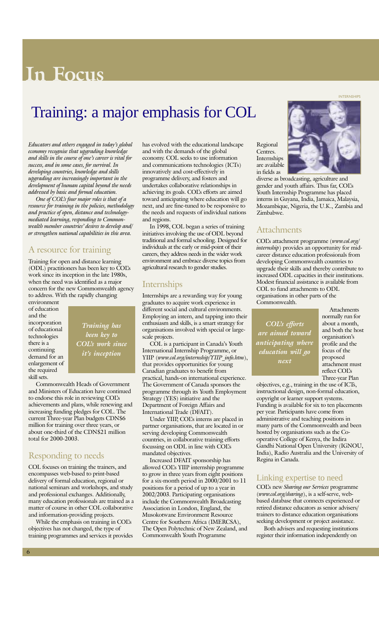# **In Focus**

# Training: a major emphasis for COL

Educators and others engaged in today's global *economy recognise that upgrading knowledge and skills in the course of one's career is vital for success, and in some cases, for survival. In developing countries, knowledge and skills upgrading are increasingly important in the development of human capital beyond the needs addressed by basic and formal education.*

*One of COLís four major roles is that of a resource for training in the policies, methodology and practice of open, distance and technologymediated learning, responding to Commonwealth member countries' desires to develop and/ or strengthen national capabilities in this area.*

#### A resource for training

Training for open and distance learning (ODL) practitioners has been key to COLís work since its inception in the late 1980s, when the need was identified as a major concern for the new Commonwealth agency to address. With the rapidly changing

environment of education and the incorporation of educational technologies there is a continuing demand for an enlargement of the required skill sets.

*Training has been key to COLís work since itís inception*

Commonwealth Heads of Government and Ministers of Education have continued to endorse this role in reviewing COLís achievements and plans, while renewing and increasing funding pledges for COL. The current Three-year Plan budgets CDN\$6 million for training over three years, or about one-third of the CDN\$21 million total for 2000-2003.

#### Responding to needs

COL focuses on training the trainers, and encompasses web-based to print-based delivery of formal education, regional or national seminars and workshops, and study and professional exchanges. Additionally, many education professionals are trained as a matter of course in other COL collaborative and information-providing projects.

While the emphasis on training in COL's objectives has not changed, the type of training programmes and services it provides has evolved with the educational landscape and with the demands of the global economy. COL seeks to use information and communications technologies (ICTs) innovatively and cost-effectively in programme delivery, and fosters and undertakes collaborative relationships in achieving its goals. COL's efforts are aimed toward anticipating where education will go next, and are fine-tuned to be responsive to the needs and requests of individual nations and regions.

In 1998, COL began a series of training initiatives involving the use of ODL beyond traditional and formal schooling. Designed for individuals at the early or mid-point of their careers, they address needs in the wider work environment and embrace diverse topics from agricultural research to gender studies.

#### Internships

Internships are a rewarding way for young graduates to acquire work experience in different social and cultural environments. Employing an intern, and tapping into their enthusiasm and skills, is a smart strategy for organisations involved with special or largescale projects.

COL is a participant in Canada's Youth International Internship Programme, or YIIP (*www.col.org/internship/YIIP\_info.htm*), that provides opportunities for young Canadian graduates to benefit from practical, hands-on international experience. The Government of Canada sponsors the programme through its Youth Employment Strategy (YES) initiative and the Department of Foreign Affairs and International Trade (DFAIT).

Under YIIP, COL's interns are placed in partner organisations, that are located in or serving developing Commonwealth countries, in collaborative training efforts focussing on ODL in line with COLís mandated objectives.

Increased DFAIT sponsorship has allowed COLís YIIP internship programme to grow in three years from eight positions for a six-month period in 2000/2001 to 11 positions for a period of up to a year in 2002/2003. Participating organisations include the Commonwealth Broadcasting Association in London, England, the Musokotwane Environment Resource Centre for Southern Africa (IMERCSA), The Open Polytechnic of New Zealand, and Commonwealth Youth Programme

Regional Centres. Internships are available in fields as

diverse as broadcasting, agriculture and gender and youth affairs. Thus far, COLís Youth Internship Programme has placed interns in Guyana, India, Jamaica, Malaysia, Mozambique, Nigeria, the U.K., Zambia and Zimbabwe.

#### Attachments

COLís attachment programme (*www.col.org/ internship*) provides an opportunity for midcareer distance education professionals from developing Commonwealth countries to upgrade their skills and thereby contribute to increased ODL capacities in their institutions. Modest financial assistance is available from COL to fund attachments to ODL organisations in other parts of the Commonwealth.

*COLís efforts are aimed toward anticipating where education will go next*

Attachments normally run for about a month, and both the host organisation's profile and the focus of the proposed attachment must reflect COLís Three-year Plan

objectives, e.g., training in the use of ICTs, instructional design, non-formal education, copyright or learner support systems. Funding is available for six to ten placements per year. Participants have come from administrative and teaching positions in many parts of the Commonwealth and been hosted by organisations such as the Cooperative College of Kenya, the Indira Gandhi National Open University (IGNOU, India), Radio Australia and the University of Regina in Canada.

#### Linking expertise to need

COLís new *Sharing our Services* programme (*www.col.org/sharing*), is a self-serve, webbased database that connects experienced or retired distance educators as senior advisers/ trainers to distance education organisations seeking development or project assistance.

Both advisers and requesting institutions register their information independently on



INTERNSHIPS

6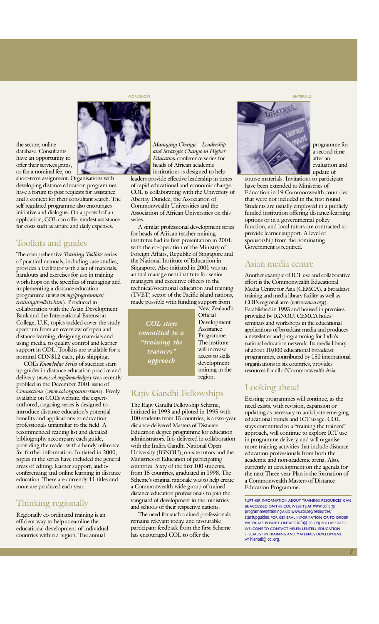workshops and the control of the control of the control of the control of the control of the control of the control of the control of the control of the control of the control of the control of the control of the control o



the secure, online database. Consultants have an opportunity to offer their services gratis, or for a nominal fee, on

short-term assignment. Organisations with developing distance education programmes have a forum to post requests for assistance and a context for their consultant search. The self-regulated programme also encourages initiative and dialogue. On approval of an application, COL can offer modest assistance for costs such as airfare and daily expenses.

#### Toolkits and guides

The comprehensive *Training Toolkits* series of practical manuals, including case studies, provides a facilitator with a set of materials, handouts and exercises for use in training workshops on the specifics of managing and implementing a distance education programme (*www.col.org/programmes/ training/toolkits.htm*). Produced in collaboration with the Asian Development Bank and the International Extension College, U.K, topics tackled cover the study spectrum from an overview of open and distance learning, designing materials and using media, to quality control and learner support in ODL. Toolkits are available for a nominal CDN\$12 each, plus shipping.

COLís *Knowledge Series* of succinct startup guides in distance education practice and delivery (*www.col.org/knowledge*) was recently profiled in the December 2001 issue of *Connections* (*www.col.org/connections*). Freely available on COL's website, the expertauthored, ongoing series is designed to introduce distance education's potential benefits and applications to education professionals unfamiliar to the field. A recommended reading list and detailed bibliography accompany each guide, providing the reader with a handy reference for further information. Initiated in 2000, topics in the series have included the general areas of editing, learner support, audioconferencing and online learning in distance education. There are currently 11 titles and more are produced each year.

#### Thinking regionally

Regionally co-ordinated training is an efficient way to help streamline the educational development of individual countries within a region. The annual

*Managing Change – Leadership and Strategic Change in Higher Education* conference series for heads of African academic institutions is designed to help leaders provide effective leadership in times of rapid educational and economic change. COL is collaborating with the University of Abertay Dundee, the Association of Commonwealth Universities and the Association of African Universities on this series.

A similar professional development series for heads of African teacher training institutes had its first presentation in 2001, with the co-operation of the Ministry of Foreign Affairs, Republic of Singapore and the National Institute of Education in Singapore. Also initiated in 2001 was an annual management institute for senior managers and executive officers in the technical/vocational education and training (TVET) sector of the Pacific island nations, made possible with funding support from

*COL stays committed to a ìtraining the* trainers<sup>y</sup> *approach*

New Zealand's **Official** Development Assistance Programme. The institute will increase access to skills development training in the region.

#### Rajiv Gandhi Fellowships

The Rajiv Gandhi Fellowship Scheme, initiated in 1993 and piloted in 1995 with 100 students from 15 countries, is a two-year, distance-delivered Masters of Distance Education degree programme for education administrators. It is delivered in collaboration with the Indira Gandhi National Open University (IGNOU), on-site tutors and the Ministries of Education of participating countries. Sixty of the first 100 students, from 15 countries, graduated in 1998. The Scheme's original rationale was to help create a Commonwealth-wide group of trained distance education professionals to join the vanguard of development in the ministries and schools of their respective nations.

The need for such trained professionals remains relevant today, and favourable participant feedback from the first Scheme has encouraged COL to offer the



programme for a second time after an evaluation and update of

course materials. Invitations to participate have been extended to Ministries of Education in 19 Commonwealth countries that were not included in the first round. Students are usually employed in a publicly funded institution offering distance-learning options or in a governmental policy function, and local tutors are contracted to provide learner support. A level of sponsorship from the nominating Government is required.

#### Asian media centre

Another example of ICT use and collaborative effort is the Commonwealth Educational Media Centre for Asia (CEMCA), a broadcast training and media library facility as well as COLís regional arm (*www.cemca.org*). Established in 1993 and housed in premises provided by IGNOU, CEMCA holds seminars and workshops in the educational applications of broadcast media and produces a newsletter and programming for Indiaís national education network. Its media library of about 10,000 educational broadcast programmes, contributed by 150 international organisations in six countries, provides resources for all of Commonwealth Asia.

#### Looking ahead

Existing programmes will continue, as the need exists, with revision, expansion or updating as necessary to anticipate emerging educational trends and ICT usage. COL stays committed to a "training the trainers" approach, will continue to explore ICT use in programme delivery, and will organise more training activities that include distance education professionals from both the academic and non-academic arena. Also, currently in development on the agenda for the next Three-year Plan is the formation of a Commonwealth Masters of Distance Education Programme.

FURTHER INFORMATION ABOUT TRAINING RESOURCES CAN BE ACCESSED ON THE COL WEBSITE AT *www.col.org/ programmes/training* AND *www.col.org/resources/ startupguides*. FOR GENERAL INFORMATION OR TO ORDER MATERIALS, PLEASE CONTACT *info@col.org*. YOU ARE ALSO WELCOME TO CONTACT HELEN LENTELL, EDUCATION SPECIALIST IN TRAINING AND MATERIALS DEVELOPMENT, AT *hlentell@col.org*.

7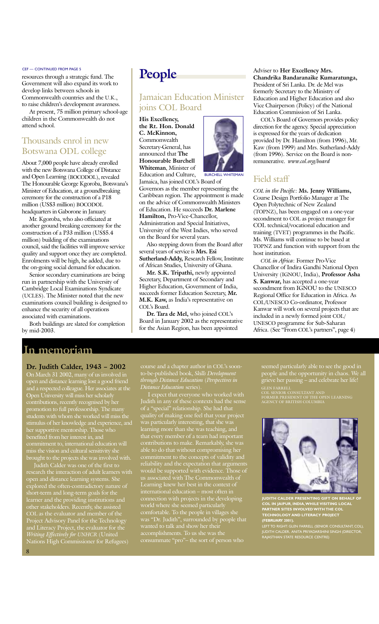#### CEF - CONTINUED FROM PAGE 5

resources through a strategic fund. The Government will also expand its work to develop links between schools in Commonwealth countries and the U.K., to raise children's development awareness.

At present, 75 million primary school-age children in the Commonwealth do not attend school.

#### Thousands enrol in new Botswana ODL college

About 7,000 people have already enrolled with the new Botswana College of Distance and Open Learning (BOCODOL), revealed The Honourable George Kgoroba, Botswanaís Minister of Education, at a groundbreaking ceremony for the construction of a P18 million (US\$3 million) BOCODOL headquarters in Gaborone in January.

Mr. Kgoroba, who also officiated at another ground breaking ceremony for the construction of a P33 million (US\$5.4 million) building of the examinations council, said the facilities will improve service quality and support once they are completed. Enrolments will be high, he added, due to the on-going social demand for education.

Senior secondary examinations are being run in partnership with the University of Cambridge Local Examinations Syndicate (UCLES). The Minister noted that the new examinations council building is designed to enhance the security of all operations associated with examinations.

Both buildings are slated for completion by mid-2003.

## **People**

#### Jamaican Education Minister joins COL Board

**His Excellency, the Rt. Hon. Donald C. McKinnon,** Commonwealth Secretary-General, has announced that **The Honourable Burchell Whiteman**, Minister of Education and Culture,



BURCHELL WHITEMAN

Jamaica, has joined COL's Board of Governors as the member representing the Caribbean region. The appointment is made on the advice of Commonwealth Ministers of Education. He succeeds **Dr. Marlene Hamilton,** Pro-Vice-Chancellor, Administration and Special Initiatives, University of the West Indies, who served on the Board for several years.

Also stepping down from the Board after several years of service is **Mrs. Esi Sutherland-Addy,** Research Fellow, Institute of African Studies, University of Ghana.

**Mr. S.K. Tripathi,** newly appointed Secretary, Department of Secondary and Higher Education, Government of India, succeeds former Education Secretary, **Mr. M.K. Kaw, as India's representative on** COL's Board.

Dr. Tara de Mel, who joined COL's Board in January 2002 as the representative for the Asian Region, has been appointed

Adviser to **Her Excellency Mrs. Chandrika Bandaranaike Kumaratunga,** President of Sri Lanka. Dr. de Mel was formerly Secretary to the Ministry of Education and Higher Education and also Vice Chairperson (Policy) of the National Education Commission of Sri Lanka.

COLís Board of Governors provides policy direction for the agency. Special appreciation is expressed for the years of dedication provided by Dr. Hamilton (from 1996), Mr. Kaw (from 1999) and Mrs. Sutherland-Addy (from 1996). Service on the Board is nonremunerative. *www.col.org/board*

#### Field staff

*COL in the Pacific*: **Ms. Jenny Williams,** Course Design Portfolio Manager at The Open Polytechnic of New Zealand (TOPNZ), has been engaged on a one-year secondment to COL as project manager for COL technical/vocational education and training (TVET) programmes in the Pacific. Ms. Williams will continue to be based at TOPNZ and function with support from the host institution.

*COL in Africa*: Former Pro-Vice Chancellor of Indira Gandhi National Open University (IGNOU, India), **Professor Asha S. Kanwar,** has accepted a one-year secondment from IGNOU to the UNESCO Regional Office for Education in Africa. As COL/UNESCO Co-ordinator, Professor Kanwar will work on several projects that are included in a newly formed joint COL/ UNESCO programme for Sub-Saharan Africa. (See "From COL's partners", page 4)

#### **In memoriam**

#### **Dr. Judith Calder, 1943 - 2002**

On March 31 2002, many of us involved in open and distance learning lost a good friend and a respected colleague. Her associates at the Open University will miss her scholarly contributions, recently recognised by her promotion to full professorship. The many students with whom she worked will miss the stimulus of her knowledge and experience, and her supportive mentorship. Those who benefited from her interest in, and commitment to, international education will miss the vision and cultural sensitivity she brought to the projects she was involved with.

Judith Calder was one of the first to research the interaction of adult learners with open and distance learning systems. She open and distance learning systems. She<br>explored the often-contradictory nature of short-term and long-term goals for the learner and the providing institutions and other stakeholders. Recently, she assisted COL as the evaluator and member of the Project Advisory Panel for the Technology and Literacy Project, the evaluator for the *Writing Effectively for UNHCR* (United Nations High Commissioner for Refugees)

course and a chapter author in COL's soonto-be-published book, *Skills Development through Distance Education* (*Perspectives in Distance Education* series).

I expect that everyone who worked with Judith in any of these contexts had the sense of a "special" relationship. She had that quality of making one feel that your project was particularly interesting, that she was learning more than she was teaching, and that every member of a team had important contributions to make. Remarkably, she was able to do that without compromising her commitment to the concepts of validity and reliability and the expectation that arguments would be supported with evidence. Those of us associated with The Commonwealth of Learning knew her best in the context of international education – most often in connection with projects in the developing world where she seemed particularly comfortable. To the people in villages she was "Dr. Judith", surrounded by people that wanted to talk and show her their accomplishments. To us she was the consummate "pro"- the sort of person who

seemed particularly able to see the good in people and the opportunity in chaos. We all grieve her passing - and celebrate her life!

GLEN FARRELL<br>COL SENIOR CONSULTANT AND<br>FORMER PRESIDENT OF THE OPEN LEARNING<br>AGENCY OF BRITISH COLUMBIA



**JUDITH CALDER PRESENTING GIFT ON BEHALF OF COL IN JAIPUR, INDIA, WHILE VISITING LOCAL PARTNER SITES INVOLVED WITH THE COL TECHNOLOGY AND LITERACY PROJECT (FEBRUARY 2001).**

LEFT TO RIGHT: GLEN FARRELL (SENIOR CONSULTANT, COL), JUDITH CALDER, ANITA PRIYADARSHINI SINGH (DIRECTOR, RAJASTHAN STATE RESOURCE CENTRE)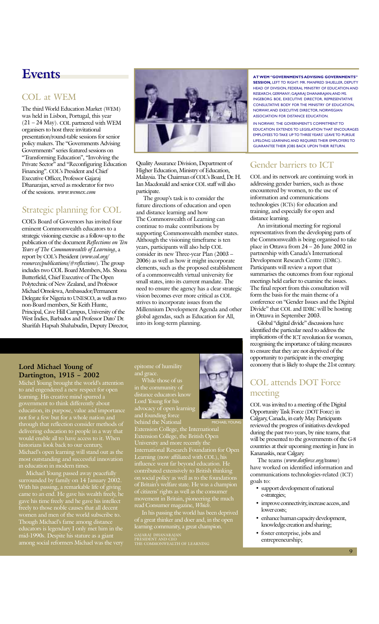## **Events**

#### COL at WEM

The third World Education Market (WEM) was held in Lisbon, Portugal, this year  $(21 – 24 May)$ . COL partnered with WEM organisers to host three invitational presentation/round-table sessions for senior policy makers. The "Governments Advising Governments" series featured sessions on "Transforming Education", "Involving the Private Sector" and "Reconfiguring Education Financing". COL's President and Chief Executive Officer, Professor Gajaraj Dhanarajan, served as moderator for two of the sessions. *www.wemex.com*

#### Strategic planning for COL

COLís Board of Governors has invited four eminent Commonwealth educators to a strategic visioning exercise as a follow-up to the publication of the document *Reflections on Ten Years of The Commonwealth of Learning*, a report by COLís President (*www.col.org/ resources/publications/#reflections*). The group includes two COL Board Members, Ms. Shona Butterfield, Chief Executive of The Open Polytechnic of New Zealand, and Professor Michael Omolewa, Ambassador/Permanent Delegate for Nigeria to UNESCO, as well as two non-Board members, Sir Keith Hunte, Principal, Cave Hill Campus, University of the West Indies, Barbados and Professor Dato' Dr. Sharifah Hapsah Shahabudin, Deputy Director,



Quality Assurance Division, Department of Higher Education, Ministry of Education, Malaysia. The Chairman of COLís Board, Dr. H. Ian Macdonald and senior COL staff will also participate.

The group's task is to consider the future directions of education and open and distance learning and how The Commonwealth of Learning can continue to make contributions by supporting Commonwealth member states. Although the visioning timeframe is ten years, participants will also help COL consider its new Three-year Plan (2003 -2006) as well as how it might incorporate elements, such as the proposed establishment of a commonwealth virtual university for small states, into its current mandate. The need to ensure the agency has a clear strategic vision becomes ever more critical as COL strives to incorporate issues from the Millennium Development Agenda and other global agendas, such as Education for All, into its long-term planning.

#### **Lord Michael Young of** Dartington, 1915 - 2002

Michel Young brought the world's attention to and engendered a new respect for open learning. His creative mind spurred a government to think differently about education, its purpose, value and importance through that reflection consider methods of delivering education to people in a way that would enable all to have access to it. When historians look back to our century, Michael's open learning will stand out as the most outstanding and successful innovation

Michael Young passed away peacefully surrounded by family on 14 January 2002. With his passing, a remarkable life of giving came to an end. He gave his wealth freely, he gave his time freely and he gave his intellect freely to those noble causes that all decent women and men of the world subscribe to. Though Michael's fame among distance educators is legendary I only met him in the mid-1990s. Despite his stature as a giant among social reformers Michael was the very

epitome of humility and grace.

While those of us in the community of distance educators know Lord Young for his advocacy of open learning and founding force

behind the National Extension College, the International Extension College, the British Open University and more recently the International Research Foundation for Open Learning (now affiliated with COL), his influence went far beyond education. He contributed extensively to British thinking on social policy as well as to the foundations of Britain's welfare state. He was a champion

of citizens' rights as well as the consumer movement in Britain, pioneering the much read Consumer magazine, *Which*.

In his passing the world has been deprived of a great thinker and doer and, in the open learning community, a great champion. GAJARAJ DHANARAJAN PRESIDENT AND CEO THE COMMONWEALTH OF LEARNING



MICHAEL YOUNG

**AT WEM "GOVERNMENTS ADVISING GOVERNMENTS" SESSION,** LEFT TO RIGHT: MR. MANFRED SHUELLER, DEPUTY HEAD OF DIVISION, FEDERAL MINISTRY OF EDUCATION AND RESEARCH, GERMANY; GAJARAJ DHANARAJAN; AND MS. INGEBORG BOE, EXECUTIVE DIRECTOR, REPRESENTATIVE CONSULTATIVE BODY FOR THE MINISTRY OF EDUCATION, NORWAY, AND EXECUTIVE DIRECTOR, NORWEGIAN ASSOCIATION FOR DISTANCE EDUCATION.

IN NORWAY, THE GOVERNMENT'S COMMITMENT TO EDUCATION EXTENDS TO LEGISLATION THAT ENCOURAGES EMPLOYEES TO TAKE UP TO THREE YEARS' LEAVE TO PURSUE LIFELONG LEARNING AND REQUIRES THEIR EMPLOYERS TO GUARANTEE THEIR JOBS BACK UPON THEIR RETURN.

#### Gender barriers to ICT

COL and its network are continuing work in addressing gender barriers, such as those encountered by women, to the use of information and communications technologies (ICTs) for education and training, and especially for open and distance learning.

An invitational meeting for regional representatives from the developing parts of the Commonwealth is being organised to take place in Ottawa from  $24 - 26$  June 2002 in partnership with Canada's International Development Research Centre (IDRC). Participants will review a report that summarises the outcomes from four regional meetings held earlier to examine the issues. The final report from this consultation will form the basis for the main theme of a conference on "Gender Issues and the Digital Divide" that COL and IDRC will be hosting in Ottawa in September 2003.

Global "digital divide" discussions have identified the particular need to address the implications of the ICT revolution for women, recognising the importance of taking measures to ensure that they are not deprived of the opportunity to participate in the emerging economy that is likely to shape the 21st century.

#### COL attends DOT Force meeting

COL was invited to a meeting of the Digital Opportunity Task Force (DOT Force) in Calgary, Canada, in early May. Participants reviewed the progress of initiatives developed during the past two years, by nine teams, that will be presented to the governments of the G-8 countries at their upcoming meeting in June in Kananaskis, near Calgary.

The teams (*www.dotforce.org/teams*) have worked on identified information and communications technologies-related (ICT) goals to:

- support development of national e-strategies;
- improve connectivity, increase access, and lower costs;
- enhance human capacity development, knowledge creation and sharing;
- foster enterprise, jobs and entrepreneurship;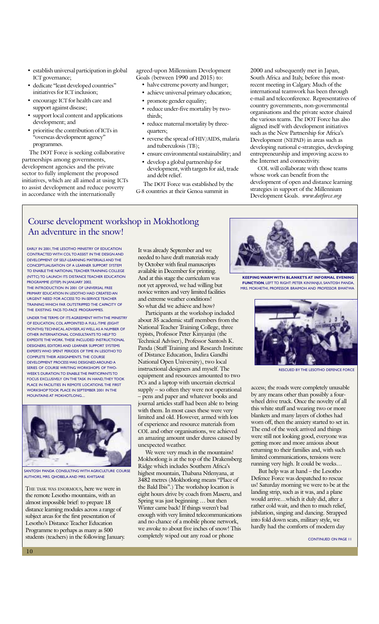- establish universal participation in global ICT governance;
- dedicate "least developed countries" initiatives for ICT inclusion;
- encourage ICT for health care and support against disease;
- support local content and applications development; and
- prioritise the contribution of ICTs in "overseas development agency" programmes.

The DOT Force is seeking collaborative partnerships among governments, development agencies and the private sector to fully implement the proposed initiatives, which are all aimed at using ICTs to assist development and reduce poverty in accordance with the internationally

agreed-upon Millennium Development Goals (between 1990 and 2015) to:

- halve extreme poverty and hunger;
- achieve universal primary education;
- promote gender equality;
- reduce under-five mortality by twothirds;
- reduce maternal mortality by threequarters;
- reverse the spread of HIV/AIDS, malaria and tuberculosis (TB);
- ensure environmental sustainability; and
- develop a global partnership for development, with targets for aid, trade and debt relief.

The DOT Force was established by the G-8 countries at their Genoa summit in

2000 and subsequently met in Japan, South Africa and Italy, before this mostrecent meeting in Calgary. Much of the international teamwork has been through e-mail and teleconference. Representatives of country governments, non-governmental organisations and the private sector chaired the various teams. The DOT Force has also aligned itself with development initiatives such as the New Partnership for Africa's Development (NEPAD) in areas such as developing national e-strategies, developing entrepreneurship and improving access to the Internet and connectivity.

COL will collaborate with those teams whose work can benefit from the development of open and distance learning strategies in support of the Millennium Development Goals. *www.dotforce.org*

#### Course development workshop in Mokhotlong An adventure in the snow!

EARLY IN 2001, THE LESOTHO MINISTRY OF EDUCATION CONTRACTED WITH COL TO ASSIST IN THE DESIGN AND DEVELOPMENT OF SELF-LEARNING MATERIALS AND THE CONCEPTUALISATION OF A LEARNER SUPPORT SYSTEM TO ENABLE THE NATIONAL TEACHER TRAINING COLLEGE (NTTC) TO LAUNCH ITS DISTANCE TEACHER EDUCATION PROGRAMME (DTEP) IN JANUARY 2002. THE INTRODUCTION IN 2001 OF UNIVERSAL FREE PRIMARY EDUCATION IN LESOTHO HAD CREATED AN URGENT NEED FOR ACCESS TO IN-SERVICE TEACHER TRAINING WHICH FAR OUTSTRIPPED THE CAPACITY OF THE EXISTING FACE-TO-FACE PROGRAMMES.

UNDER THE TERMS OF ITS AGREEMENT WITH THE MINISTRY OF EDUCATION, COL APPOINTED A FULL-TIME (EIGHT MONTHS) TECHNICAL ADVISER, AS WELL AS A NUMBER OF OTHER INTERNATIONAL CONSULTANTS TO HELP TO EXPEDITE THE WORK. THESE INCLUDED INSTRUCTIONAL DESIGNERS, EDITORS AND LEARNER SUPPORT SYSTEMS EXPERTS WHO SPENT PERIODS OF TIME IN LESOTHO TO COMPLETE THEIR ASSIGNMENTS. THE COURSE DEVELOPMENT PROCESS WAS DESIGNED AROUND A SERIES OF COURSE WRITING WORKSHOPS OF TWO-WEEK'S DURATION. TO ENABLE THE PARTICIPANTS TO FOCUS EXCLUSIVELY ON THE TASK IN HAND, THEY TOOK PLACE IN FACILITIES IN REMOTE LOCATIONS. THE FIRST WORKSHOP TOOK PLACE IN SEPTEMBER 2001 IN THE MOUNTAINS AT MOKHOTLONG....



SANTOSH PANDA CONSULTING WITH AGRICULTURE COURSE AUTHORS, MRS. QHOBELA AND MRS. KHITSANE

THE TASK WAS ENORMOUS, here we were in the remote Lesotho mountains, with an almost impossible brief: to prepare 18 distance learning modules across a range of subject areas for the first presentation of Lesotho's Distance Teacher Education Programme to perhaps as many as 500 students (teachers) in the following January. It was already September and we needed to have draft materials ready by October with final manuscripts available in December for printing. And at this stage the curriculum was not yet approved, we had willing but novice writers and very limited facilities and extreme weather conditions! So what did we achieve and how?

Participants at the workshop included about 35 academic staff members from the National Teacher Training College, three typists, Professor Peter Kinyanjui (the Technical Adviser), Professor Santosh K. Panda (Staff Training and Research Institute of Distance Education, Indira Gandhi National Open University), two local instructional designers and myself. The equipment and resources amounted to two PCs and a laptop with uncertain electrical supply – so often they were not operational - pens and paper and whatever books and journal articles staff had been able to bring with them. In most cases these were very limited and old. However, armed with lots of experience and resource materials from COL and other organisations, we achieved an amazing amount under duress caused by unexpected weather.

We were very much in the mountains! Mokhotlong is at the top of the Drakensberg Ridge which includes Southern Africa's highest mountain, Thabana Ntlenyana, at 3482 metres (Mokhotlong means "Place of the Bald Ibis".) The workshop location is eight hours drive by coach from Maseru, and Spring was just beginning ... but then Winter came back! If things weren't bad enough with very limited telecommunications and no chance of a mobile phone network, we awoke to about five inches of snow! This completely wiped out any road or phone



**KEEPING WARM WITH BLANKETS AT INFORMAL EVENING FUNCTION**, LEFT TO RIGHT: PETER KINYANJUI, SANTOSH PANDA, MRS. MOKHETHI, PROFESSOR BRAIMOH AND PROFESSOR BWATWA



RESCUED BY THE LESOTHO DEFENCE FORCE

access; the roads were completely unusable by any means other than possibly a fourwheel drive truck. Once the novelty of all this white stuff and wearing two or more blankets and many layers of clothes had worn off, then the anxiety started to set in. The end of the week arrived and things were still not looking good, everyone was getting more and more anxious about returning to their families and, with such limited communications, tensions were running very high. It could be weeks...

But help was at hand - the Lesotho Defence Force was despatched to rescue us! Saturday morning we were to be at the landing strip, such as it was, and a plane would arrive...which it duly did, after a rather cold wait, and then to much relief, jubilation, singing and dancing. Strapped into fold down seats, military style, we hardly had the comforts of modern day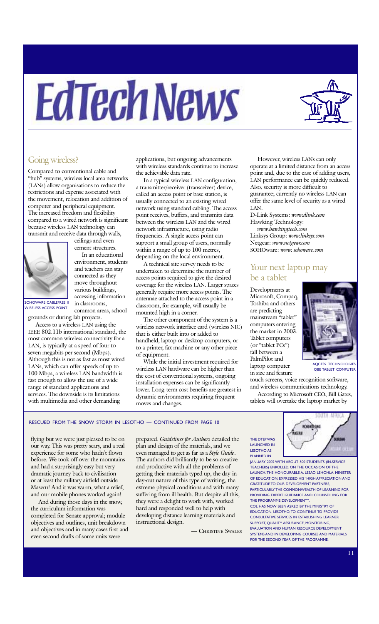# EdTechNews



#### Going wireless?

Compared to conventional cable and ìhubî systems, wireless local area networks (LANs) allow organisations to reduce the restrictions and expense associated with the movement, relocation and addition of computer and peripheral equipment. The increased freedom and flexibility compared to a wired network is significant because wireless LAN technology can transmit and receive data through walls,



ceilings and even cement structures.

In an educational environment, students and teachers can stay connected as they move throughout various buildings, accessing information in classrooms, common areas, school

SOHOWARE CABLEFREE II WIRELESS ACCESS POINT

grounds or during lab projects.

Access to a wireless LAN using the IEEE 802.11b international standard, the most common wireless connectivity for a LAN, is typically at a speed of four to seven megabits per second (Mbps). Although this is not as fast as most wired LANs, which can offer speeds of up to 100 Mbps, a wireless LAN bandwidth is fast enough to allow the use of a wide range of standard applications and services. The downside is its limitations with multimedia and other demanding

applications, but ongoing advancements with wireless standards continue to increase the achievable data rate.

In a typical wireless LAN configuration, a transmitter/receiver (transceiver) device, called an access point or base station, is usually connected to an existing wired network using standard cabling. The access point receives, buffers, and transmits data between the wireless LAN and the wired network infrastructure, using radio frequencies. A single access point can support a small group of users, normally within a range of up to 100 metres, depending on the local environment.

A technical site survey needs to be undertaken to determine the number of access points required to give the desired coverage for the wireless LAN. Larger spaces generally require more access points. The antennae attached to the access point in a classroom, for example, will usually be mounted high in a corner.

The other component of the system is a wireless network interface card (wireless NIC) that is either built into or added to handheld, laptop or desktop computers, or to a printer, fax machine or any other piece of equipment.

While the initial investment required for wireless LAN hardware can be higher than the cost of conventional systems, ongoing installation expenses can be significantly lower. Long-term cost benefits are greatest in dynamic environments requiring frequent moves and changes.

However, wireless LANs can only operate at a limited distance from an access point and, due to the ease of adding users, LAN performance can be quickly reduced. Also, security is more difficult to guarantee; currently no wireless LAN can offer the same level of security as a wired LAN.

D-Link Systems: *www.dlink.com* Hawking Technology:  *www.hawkingtech.com* Linksys Group: *www.linksys.com* Netgear: *www.netgear.com* SOHOware: *www. sohoware.com*

#### Your next laptop may be a tablet

Developments at Microsoft, Compaq, Toshiba and others are predicting mainstream "tablet" computers entering the market in 2003. Tablet computers (or "tablet PCs") fall between a PalmPilot and laptop computer in size and feature



OBE TABLET COMPUTER

and wireless communications technology. According to Microsoft CEO, Bill Gates, tablets will overtake the laptop market by

touch-screens, voice recognition software,

#### RESCUED FROM THE SNOW STORM IN LESOTHO - CONTINUED FROM PAGE 10

flying but we were just pleased to be on our way. This was pretty scary, and a real experience for some who hadn't flown before. We took off over the mountains and had a surprisingly easy but very dramatic journey back to civilisation or at least the military airfield outside Maseru! And it was warm, what a relief, and our mobile phones worked again!

And during those days in the snow, the curriculum information was completed for Senate approval; module objectives and outlines, unit breakdown and objectives and in many cases first and even second drafts of some units were

prepared. *Guidelines for Authors* detailed the plan and design of the materials, and we even managed to get as far as a *Style Guide*. The authors did brilliantly to be so creative and productive with all the problems of getting their materials typed up, the day-inday-out nature of this type of writing, the extreme physical conditions and with many suffering from ill health. But despite all this, they were a delight to work with, worked hard and responded well to help with developing distance learning materials and instructional design.

— CHRISTINE SWALES

THE DTEP WAS LAUNCHED IN LESOTHO AS PLANNED IN



COL HAS NOW BEEN ASKED BY THE MINISTRY OF EDUCATION, LESOTHO, TO CONTINUE TO PROVIDE CONSULTATIVE SERVICES IN ESTABLISHING LEARNER SUPPORT, QUALITY ASSURANCE, MONITORING, EVALUATION AND HUMAN RESOURCE DEVELOPMENT SYSTEMS AND IN DEVELOPING COURSES AND MATERIALS FOR THE SECOND YEAR OF THE PROGRAMME.



SOUTH AFRICA